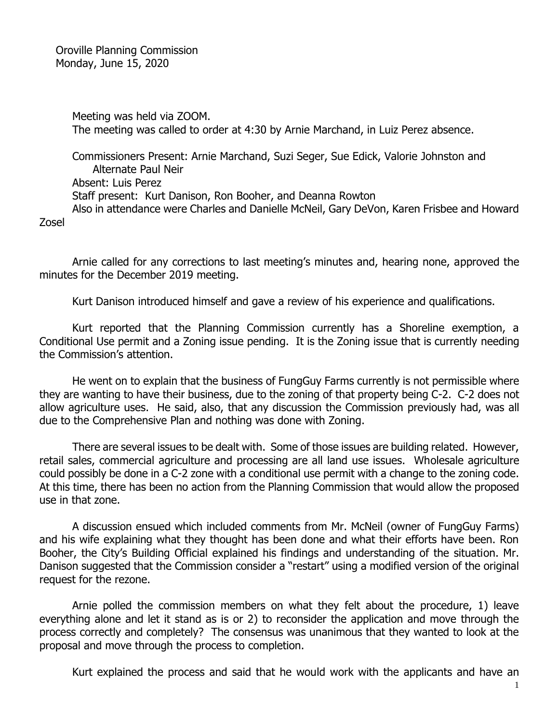Oroville Planning Commission Monday, June 15, 2020

> Meeting was held via ZOOM. The meeting was called to order at 4:30 by Arnie Marchand, in Luiz Perez absence.

Commissioners Present: Arnie Marchand, Suzi Seger, Sue Edick, Valorie Johnston and Alternate Paul Neir Absent: Luis Perez Staff present: Kurt Danison, Ron Booher, and Deanna Rowton Also in attendance were Charles and Danielle McNeil, Gary DeVon, Karen Frisbee and Howard

Zosel

Arnie called for any corrections to last meeting's minutes and, hearing none, approved the minutes for the December 2019 meeting.

Kurt Danison introduced himself and gave a review of his experience and qualifications.

Kurt reported that the Planning Commission currently has a Shoreline exemption, a Conditional Use permit and a Zoning issue pending. It is the Zoning issue that is currently needing the Commission's attention.

He went on to explain that the business of FungGuy Farms currently is not permissible where they are wanting to have their business, due to the zoning of that property being C-2. C-2 does not allow agriculture uses. He said, also, that any discussion the Commission previously had, was all due to the Comprehensive Plan and nothing was done with Zoning.

There are several issues to be dealt with. Some of those issues are building related. However, retail sales, commercial agriculture and processing are all land use issues. Wholesale agriculture could possibly be done in a C-2 zone with a conditional use permit with a change to the zoning code. At this time, there has been no action from the Planning Commission that would allow the proposed use in that zone.

A discussion ensued which included comments from Mr. McNeil (owner of FungGuy Farms) and his wife explaining what they thought has been done and what their efforts have been. Ron Booher, the City's Building Official explained his findings and understanding of the situation. Mr. Danison suggested that the Commission consider a "restart" using a modified version of the original request for the rezone.

Arnie polled the commission members on what they felt about the procedure, 1) leave everything alone and let it stand as is or 2) to reconsider the application and move through the process correctly and completely? The consensus was unanimous that they wanted to look at the proposal and move through the process to completion.

Kurt explained the process and said that he would work with the applicants and have an